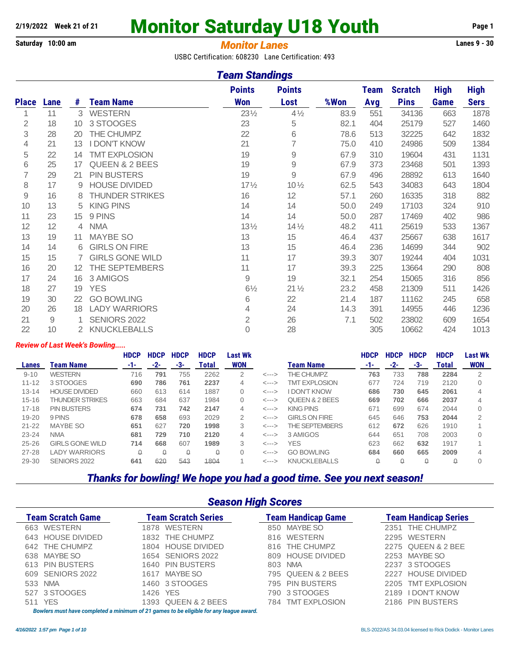# 2/19/2022 Week 21 of 21 **Monitor Saturday U18 Youth** Page 1

#### **Saturday 10:00 am** *Monitor Lanes* **Lanes 9 - 30**

USBC Certification: 608230 Lane Certification: 493

#### *Team Standings*

|                |      |                       |                           | <b>Points</b>   | <b>Points</b>   |      | <b>Team</b> | <b>Scratch</b> | <b>High</b> | <b>High</b> |
|----------------|------|-----------------------|---------------------------|-----------------|-----------------|------|-------------|----------------|-------------|-------------|
| <b>Place</b>   | Lane | #                     | <b>Team Name</b>          | <b>Won</b>      | Lost            | %Won | Avg         | <b>Pins</b>    | Game        | <b>Sers</b> |
| 1              | 11   | 3                     | <b>WESTERN</b>            | $23\frac{1}{2}$ | $4\frac{1}{2}$  | 83.9 | 551         | 34136          | 663         | 1878        |
| $\overline{2}$ | 18   | 10                    | 3 STOOGES                 | 23              | 5               | 82.1 | 404         | 25179          | 527         | 1460        |
| 3              | 28   | 20                    | THE CHUMPZ                | 22              | 6               | 78.6 | 513         | 32225          | 642         | 1832        |
| 4              | 21   | 13                    | <b>I DON'T KNOW</b>       | 21              | $\overline{7}$  | 75.0 | 410         | 24986          | 509         | 1384        |
| 5              | 22   | 14                    | <b>TMT EXPLOSION</b>      | 19              | $\mathcal{G}$   | 67.9 | 310         | 19604          | 431         | 1131        |
| 6              | 25   | 17                    | <b>QUEEN &amp; 2 BEES</b> | 19              | 9               | 67.9 | 373         | 23468          | 501         | 1393        |
| $\overline{7}$ | 29   | 21                    | <b>PIN BUSTERS</b>        | 19              | $\mathcal{G}$   | 67.9 | 496         | 28892          | 613         | 1640        |
| 8              | 17   | 9                     | <b>HOUSE DIVIDED</b>      | $17\frac{1}{2}$ | $10\frac{1}{2}$ | 62.5 | 543         | 34083          | 643         | 1804        |
| $\mathcal{G}$  | 16   | 8                     | <b>THUNDER STRIKES</b>    | 16              | 12              | 57.1 | 260         | 16335          | 318         | 882         |
| 10             | 13   | 5                     | <b>KING PINS</b>          | 14              | 14              | 50.0 | 249         | 17103          | 324         | 910         |
| 11             | 23   | 15                    | 9 PINS                    | 14              | 14              | 50.0 | 287         | 17469          | 402         | 986         |
| 12             | 12   | 4                     | <b>NMA</b>                | $13\frac{1}{2}$ | $14\frac{1}{2}$ | 48.2 | 411         | 25619          | 533         | 1367        |
| 13             | 19   | 11                    | <b>MAYBE SO</b>           | 13              | 15              | 46.4 | 437         | 25667          | 638         | 1617        |
| 14             | 14   | 6                     | <b>GIRLS ON FIRE</b>      | 13              | 15              | 46.4 | 236         | 14699          | 344         | 902         |
| 15             | 15   | 7                     | <b>GIRLS GONE WILD</b>    | 11              | 17              | 39.3 | 307         | 19244          | 404         | 1031        |
| 16             | 20   | $12 \overline{ }$     | THE SEPTEMBERS            | 11              | 17              | 39.3 | 225         | 13664          | 290         | 808         |
| 17             | 24   | 16                    | 3 AMIGOS                  | 9               | 19              | 32.1 | 254         | 15065          | 316         | 856         |
| 18             | 27   | 19                    | <b>YES</b>                | $6\frac{1}{2}$  | $21\frac{1}{2}$ | 23.2 | 458         | 21309          | 511         | 1426        |
| 19             | 30   | 22                    | <b>GO BOWLING</b>         | 6               | 22              | 21.4 | 187         | 11162          | 245         | 658         |
| 20             | 26   | 18                    | <b>LADY WARRIORS</b>      | $\overline{4}$  | 24              | 14.3 | 391         | 14955          | 446         | 1236        |
| 21             | 9    | 1                     | SENIORS 2022              | $\overline{2}$  | 26              | 7.1  | 502         | 23802          | 609         | 1654        |
| 22             | 10   | $\mathbf{2}^{\prime}$ | <b>KNUCKLEBALLS</b>       | $\mathbf 0$     | 28              |      | 305         | 10662          | 424         | 1013        |

#### *Review of Last Week's Bowling.....*

|           |                        | <b>HDCP</b> | <b>HDCP</b> | <b>HDCP</b> | <b>HDCP</b>  | Last Wk    |                            |                           | <b>HDCP</b> | <b>HDCP</b> | <b>HDCP</b> | <b>HDCP</b> | <b>Last Wk</b> |
|-----------|------------------------|-------------|-------------|-------------|--------------|------------|----------------------------|---------------------------|-------------|-------------|-------------|-------------|----------------|
| Lanes     | Team Name              | -1-         | -2-         | -3-         | <b>Total</b> | <b>WON</b> |                            | <b>Team Name</b>          | -1-         | $-2-$       | -3-         | Total       | <b>WON</b>     |
| $9 - 10$  | <b>WESTERN</b>         | 716         | 791         | 755         | 2262         | 2          | $\leftarrow$ --- $>$       | THE CHUMPZ                | 763         | 733         | 788         | 2284        | 2              |
| $11 - 12$ | 3 STOOGES              | 690         | 786         | 761         | 2237         | 4          | $\leftarrow$ --->          | <b>TMT EXPLOSION</b>      | 677         | 724         | 719         | 2120        |                |
| $13 - 14$ | <b>HOUSE DIVIDED</b>   | 660         | 613         | 614         | 1887         | $\Omega$   | $\leftarrow$ $\rightarrow$ | <b>I DON'T KNOW</b>       | 686         | 730         | 645         | 2061        |                |
| $15 - 16$ | <b>THUNDER STRIKES</b> | 663         | 684         | 637         | 1984         | 0          | $\leftarrow$ --->          | <b>QUEEN &amp; 2 BEES</b> | 669         | 702         | 666         | 2037        |                |
| $17 - 18$ | <b>PIN BUSTERS</b>     | 674         | 731         | 742         | 2147         | 4          | $\leftarrow$ $\rightarrow$ | <b>KING PINS</b>          | 671         | 699         | 674         | 2044        |                |
| $19 - 20$ | 9 PINS                 | 678         | 658         | 693         | 2029         | 2          | $\leftarrow$ $\rightarrow$ | <b>GIRLS ON FIRE</b>      | 645         | 646         | 753         | 2044        | 2              |
| $21 - 22$ | <b>MAYBE SO</b>        | 651         | 627         | 720         | 1998         | 3          | $\leftarrow$ -->           | THE SEPTEMBERS            | 612         | 672         | 626         | 1910        |                |
| $23 - 24$ | <b>NMA</b>             | 681         | 729         | 710         | 2120         | 4          | $\leftarrow$ -->           | 3 AMIGOS                  | 644         | 651         | 708         | 2003        |                |
| $25 - 26$ | <b>GIRLS GONE WILD</b> | 714         | 668         | 607         | 1989         | 3          | <--->                      | <b>YES</b>                | 623         | 662         | 632         | 1917        |                |
| $27 - 28$ | LADY WARRIORS          | ٥           |             | ۵           |              |            | $\leftarrow$ --->          | <b>GO BOWLING</b>         | 684         | 660         | 665         | 2009        |                |
| $29 - 30$ | SENIORS 2022           | 641         | 620         | 543         | 1804         |            | $\leftarrow$ --- $>$       | <b>KNUCKLEBALLS</b>       | ۵           |             | Ω           | ۵           |                |

#### *Thanks for bowling! We hope you had a good time. See you next season!*

#### *Season High Scores*

| <b>Team Scratch Game</b> | <b>Team Scratch Series</b>                                                                   | <b>Team Handicap Game</b> | <b>Team Handicap Series</b> |
|--------------------------|----------------------------------------------------------------------------------------------|---------------------------|-----------------------------|
| 663 WESTERN              | 1878 WESTERN                                                                                 | 850 MAYBE SO              | 2351 THE CHUMPZ             |
| 643 HOUSE DIVIDED        | 1832 THE CHUMPZ                                                                              | 816 WESTERN               | 2295 WESTERN                |
| 642 THE CHUMPZ           | 1804 HOUSE DIVIDED                                                                           | 816 THE CHUMPZ            | 2275 QUEEN & 2 BEE          |
| 638 MAYBE SO             | 1654 SENIORS 2022                                                                            | 809 HOUSE DIVIDED         | 2253 MAYBE SO               |
| 613 PIN BUSTERS          | 1640 PIN BUSTERS                                                                             | 803 NMA                   | 2237 3 STOOGES              |
| 609 SENIORS 2022         | 1617 MAYBE SO                                                                                | 795 QUEEN & 2 BEES        | 2227 HOUSE DIVIDED          |
| 533 NMA                  | 1460 3 STOOGES                                                                               | 795 PIN BUSTERS           | 2205 TMT EXPLOSION          |
| 527 3 STOOGES            | 1426 YES                                                                                     | 790 3 STOOGES             | 2189 I DON'T KNOW           |
| 511 YES                  | 1393 QUEEN & 2 BEES                                                                          | 784 TMT EXPLOSION         | 2186 PIN BUSTERS            |
|                          | Danilang musat barin gama latasi a minimum af 94 mamag ta ba alimible fan anu laganua gunani |                           |                             |

*Bowlers must have completed a minimum of 21 games to be eligible for any league award.*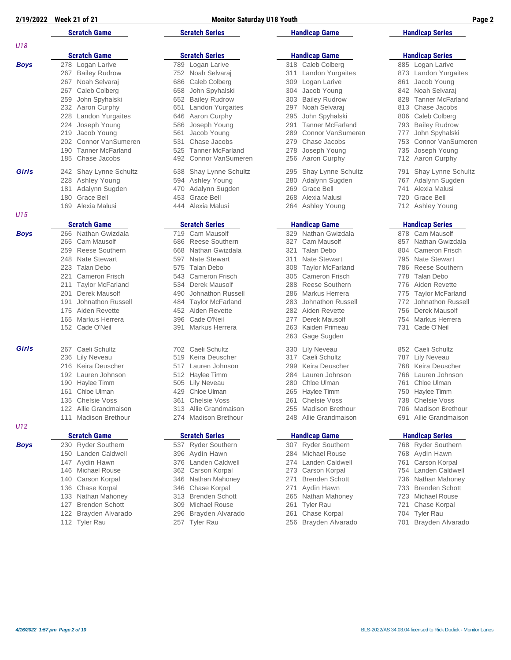*U18*

| 2/19/2022   | <b>Week 21 of 21</b>                                                                                                                                                                                                                                                                                             | <b>Monitor Saturday U18 Youth</b>                                                                                                                                                                                                                                                                            | Page 2                                                                                                                                                                                                                                                                                                       |                                                                                                                                                                                                                                                                                                              |  |
|-------------|------------------------------------------------------------------------------------------------------------------------------------------------------------------------------------------------------------------------------------------------------------------------------------------------------------------|--------------------------------------------------------------------------------------------------------------------------------------------------------------------------------------------------------------------------------------------------------------------------------------------------------------|--------------------------------------------------------------------------------------------------------------------------------------------------------------------------------------------------------------------------------------------------------------------------------------------------------------|--------------------------------------------------------------------------------------------------------------------------------------------------------------------------------------------------------------------------------------------------------------------------------------------------------------|--|
|             | <b>Scratch Game</b>                                                                                                                                                                                                                                                                                              | <b>Scratch Series</b>                                                                                                                                                                                                                                                                                        | <b>Handicap Game</b>                                                                                                                                                                                                                                                                                         | <b>Handicap Series</b>                                                                                                                                                                                                                                                                                       |  |
| U18         |                                                                                                                                                                                                                                                                                                                  |                                                                                                                                                                                                                                                                                                              |                                                                                                                                                                                                                                                                                                              |                                                                                                                                                                                                                                                                                                              |  |
|             | <b>Scratch Game</b>                                                                                                                                                                                                                                                                                              | <b>Scratch Series</b>                                                                                                                                                                                                                                                                                        | <b>Handicap Game</b>                                                                                                                                                                                                                                                                                         | <b>Handicap Series</b>                                                                                                                                                                                                                                                                                       |  |
| <b>Boys</b> | 278 Logan Larive<br><b>Bailey Rudrow</b><br>267<br>Noah Selvaraj<br>267<br>Caleb Colberg<br>267<br>John Spyhalski<br>259<br>232 Aaron Curphy<br><b>Landon Yurgaites</b><br>228<br>Joseph Young<br>224<br>219<br>Jacob Young<br>Connor VanSumeren<br>202<br><b>Tanner McFarland</b><br>190<br>Chase Jacobs<br>185 | 789 Logan Larive<br>Noah Selvaraj<br>752<br>Caleb Colberg<br>686<br>John Spyhalski<br>658<br><b>Bailey Rudrow</b><br>652<br>Landon Yurgaites<br>651<br>Aaron Curphy<br>646<br>Joseph Young<br>586<br>Jacob Young<br>561<br>Chase Jacobs<br>531<br><b>Tanner McFarland</b><br>525<br>Connor VanSumeren<br>492 | 318 Caleb Colberg<br>Landon Yurgaites<br>311<br>Logan Larive<br>309<br>Jacob Young<br>304<br><b>Bailey Rudrow</b><br>303<br>Noah Selvaraj<br>297<br>John Spyhalski<br>295<br><b>Tanner McFarland</b><br>291<br>Connor VanSumeren<br>289<br>Chase Jacobs<br>279<br>Joseph Young<br>278<br>Aaron Curphy<br>256 | 885 Logan Larive<br>Landon Yurgaites<br>873<br>Jacob Young<br>861<br>Noah Selvaraj<br>842<br><b>Tanner McFarland</b><br>828<br>Chase Jacobs<br>813<br>Caleb Colberg<br>806<br><b>Bailey Rudrow</b><br>793<br>John Spyhalski<br>777<br>Connor VanSumeren<br>753<br>Joseph Young<br>735<br>Aaron Curphy<br>712 |  |
| Girls       | 242 Shay Lynne Schultz<br>Ashley Young<br>228<br>181<br>Adalynn Sugden<br>Grace Bell<br>180                                                                                                                                                                                                                      | 638 Shay Lynne Schultz<br>Ashley Young<br>594<br>Adalynn Sugden<br>470<br>453<br>Grace Bell                                                                                                                                                                                                                  | Shay Lynne Schultz<br>295<br>Adalynn Sugden<br>280<br>Grace Bell<br>269<br>Alexia Malusi<br>268                                                                                                                                                                                                              | Shay Lynne Schultz<br>791<br>Adalynn Sugden<br>767<br>Alexia Malusi<br>741<br>Grace Bell<br>720                                                                                                                                                                                                              |  |

- 208 Taylor McFarland 786 Reese Southern
	-
	-
	-
	-
	-

- 
- 
- 
- Michael Rouse 362 Carson Korpal 273 Carson Korpal 754 Landen Caldwell
	-
	-
- Chase Korpal 346 Chase Korpal 271 Aydin Hawn 733 Brenden Schott
	-
	-
	-
- Tyler Rau 257 Tyler Rau 256 Brayden Alvarado 701 Brayden Alvarado

| Girls       |         | 242 Shay Lynne Schultz  |
|-------------|---------|-------------------------|
|             |         | 228 Ashley Young        |
|             | 181     | Adalynn Sugden          |
|             |         | 180 Grace Bell          |
|             |         | 169 Alexia Malusi       |
| U15         |         |                         |
|             |         | <b>Scratch Game</b>     |
| <b>Boys</b> |         | 266 Nathan Gwizdala     |
|             | 265     | Cam Mausolf             |
|             |         | 259 Reese Southern      |
|             | 248     | <b>Nate Stewart</b>     |
|             | 223     | Talan Debo              |
|             | 221     | <b>Cameron Frisch</b>   |
|             | 211     | <b>Taylor McFarland</b> |
|             | 201     | Derek Mausolf           |
|             | 191     | Johnathon Russell       |
|             | 175     | Aiden Revette           |
|             | 165     | Markus Herrera          |
|             | 152     | Cade O'Neil             |
| Girls       |         | 267 Caeli Schultz       |
|             |         | 236 Lily Neveau         |
|             |         | 216 Keira Deuscher      |
|             | 192     | Lauren Johnson          |
|             |         | 190 Haylee Timm         |
|             | 161     | Chloe Ulman             |
|             | 135     | Chelsie Voss            |
|             | 122     | Allie Grandmaison       |
|             | $111 -$ | Madison Brethour        |
| U12         |         |                         |
|             |         | <b>Scratch Game</b>     |
| <b>Boys</b> | 230     | <b>Ryder Southern</b>   |
|             | 150     | Landen Caldwell         |
|             |         | 147 Aydin Hawn          |
|             |         | 146 Michael Rouse       |
|             |         | 140 Carson Korpal       |
|             | 136     | Chase Korpal            |

- Brayden Alvarado 296 Brayden Alvarado 261 Chase Korpal 704 Tyler Rau
- 

 Alexia Malusi 444 Alexia Malusi 264 Ashley Young 712 Ashley Young **Scratch Game Scratch Series Handicap Game Handicap Series** *Boys* 266 Nathan Gwizdala 719 Cam Mausolf 329 Nathan Gwizdala 878 Cam Mausolf Cam Mausolf 686 Reese Southern 327 Cam Mausolf 857 Nathan Gwizdala Reese Southern 668 Nathan Gwizdala 321 Talan Debo 804 Cameron Frisch 248 597 Nate Stewart 211 Nate Stewart 311 Nate Stewart 314 Nate Stewart 311 Nate Stewart 308 Taylor McFarland Cameron Frisch 543 Cameron Frisch 305 Cameron Frisch 778 Talan Debo 534 Derek Mausolf **288 Reese Southern** 776 Aiden Revette Derek Mausolf 490 Johnathon Russell 286 Markus Herrera 775 Taylor McFarland Johnathon Russell 484 Taylor McFarland 283 Johnathon Russell 772 Johnathon Russell Aiden Revette 452 Aiden Revette 282 Aiden Revette 756 Derek Mausolf Markus Herrera 396 Cade O'Neil 277 Derek Mausolf 754 Markus Herrera Cade O'Neil 391 Markus Herrera 263 Kaiden Primeau 731 Cade O'Neil *Girls* 267 Caeli Schultz 702 Caeli Schultz 330 Lily Neveau 852 Caeli Schultz Lily Neveau 519 Keira Deuscher 317 Caeli Schultz 787 Lily Neveau Keira Deuscher 517 Lauren Johnson 299 Keira Deuscher 768 Keira Deuscher Lauren Johnson 512 Haylee Timm 284 Lauren Johnson 766 Lauren Johnson 1905 Lily Neveau 280 Chloe Ulman 1905 761 Chloe Ulman Chloe Ulman 429 Chloe Ulman 265 Haylee Timm 750 Haylee Timm Chelsie Voss 361 Chelsie Voss 261 Chelsie Voss 738 Chelsie Voss Allie Grandmaison 313 Allie Grandmaison 255 Madison Brethour 706 Madison Brethour 274 Madison Brethour 248 Allie Grandmaison 691 Allie Grandmaison **Scratch Game Scratch Series Handicap Game Handicap Series** *Boys* 230 Ryder Southern 537 Ryder Southern 307 Ryder Southern 768 Ryder Southern Landen Caldwell 396 Aydin Hawn 284 Michael Rouse 768 Aydin Hawn

Gage Sugden

- 147 Aydin Hamm 274 Landen Caldwell 276 Landen Carson Korpal
- 
- Carson Korpal 346 Nathan Mahoney 271 Brenden Schott 736 Nathan Mahoney
- 
- Nathan Mahoney 313 Brenden Schott 265 Nathan Mahoney 723 Michael Rouse
- Brenden Schott 309 Michael Rouse 261 Tyler Rau 721 Chase Korpal
	-
	-
- 
- 
- 
- 
- 
- 
- 

- 
- 
- 
- 

- 
- 
- 
- 
- 
-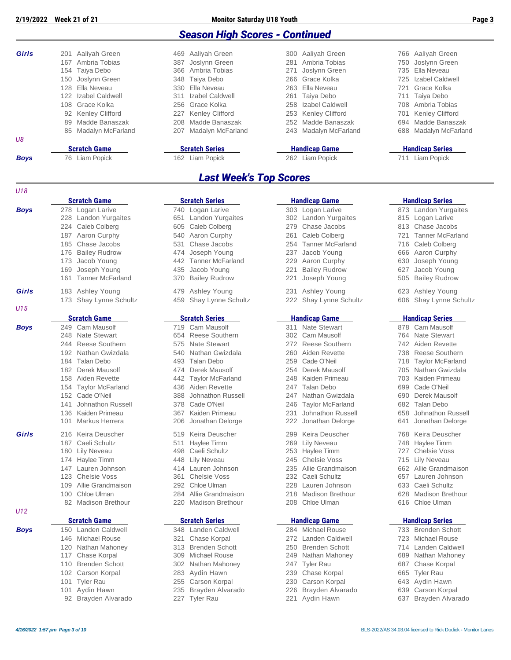*U18*

| <b>Season High Scores - Continued</b> |
|---------------------------------------|
|---------------------------------------|

|     | 76 Liam Popick |                                                                                                                                                                                                             | 162 Liam Popick       |                                                                                                                                                                                                                  | 262 Liam Popick | 711                                                                                                                                                                                                                                      | <b>Liam Popick</b>    |
|-----|----------------|-------------------------------------------------------------------------------------------------------------------------------------------------------------------------------------------------------------|-----------------------|------------------------------------------------------------------------------------------------------------------------------------------------------------------------------------------------------------------|-----------------|------------------------------------------------------------------------------------------------------------------------------------------------------------------------------------------------------------------------------------------|-----------------------|
|     |                |                                                                                                                                                                                                             | <b>Scratch Series</b> |                                                                                                                                                                                                                  |                 | <b>Handicap Series</b>                                                                                                                                                                                                                   |                       |
|     |                |                                                                                                                                                                                                             |                       |                                                                                                                                                                                                                  |                 |                                                                                                                                                                                                                                          |                       |
|     |                |                                                                                                                                                                                                             |                       |                                                                                                                                                                                                                  |                 |                                                                                                                                                                                                                                          | 688 Madalyn McFarland |
|     |                |                                                                                                                                                                                                             |                       |                                                                                                                                                                                                                  |                 |                                                                                                                                                                                                                                          | 694 Madde Banaszak    |
|     |                |                                                                                                                                                                                                             |                       |                                                                                                                                                                                                                  |                 |                                                                                                                                                                                                                                          | 701 Kenley Clifford   |
|     |                |                                                                                                                                                                                                             |                       |                                                                                                                                                                                                                  |                 |                                                                                                                                                                                                                                          | 708 Ambria Tobias     |
|     |                |                                                                                                                                                                                                             |                       |                                                                                                                                                                                                                  |                 |                                                                                                                                                                                                                                          | 711 Taiya Debo        |
|     |                |                                                                                                                                                                                                             |                       |                                                                                                                                                                                                                  |                 |                                                                                                                                                                                                                                          | 721 Grace Kolka       |
|     |                |                                                                                                                                                                                                             |                       |                                                                                                                                                                                                                  |                 |                                                                                                                                                                                                                                          | 725 Izabel Caldwell   |
|     |                |                                                                                                                                                                                                             |                       |                                                                                                                                                                                                                  |                 |                                                                                                                                                                                                                                          | 735 Ella Neveau       |
| 167 | Ambria Tobias  |                                                                                                                                                                                                             |                       |                                                                                                                                                                                                                  |                 |                                                                                                                                                                                                                                          | 750 Joslynn Green     |
| 201 |                |                                                                                                                                                                                                             |                       |                                                                                                                                                                                                                  |                 |                                                                                                                                                                                                                                          | 766 Aaliyah Green     |
|     |                | Aaliyah Green<br>154 Taiya Debo<br>150 Joslynn Green<br>128 Ella Neveau<br>122 Izabel Caldwell<br>108 Grace Kolka<br>92 Kenley Clifford<br>89 Madde Banaszak<br>85 Madalyn McFarland<br><b>Scratch Game</b> |                       | 469 Aaliyah Green<br>387 Joslynn Green<br>366 Ambria Tobias<br>348 Taiya Debo<br>330 Ella Neveau<br>311 Izabel Caldwell<br>256 Grace Kolka<br>227 Kenley Clifford<br>208 Madde Banaszak<br>207 Madalyn McFarland |                 | 300 Aaliyah Green<br>281 Ambria Tobias<br>271 Joslynn Green<br>266 Grace Kolka<br>263 Ella Neveau<br>261 Taiya Debo<br>258 Izabel Caldwell<br>253 Kenley Clifford<br>252 Madde Banaszak<br>243 Madalyn McFarland<br><b>Handicap Game</b> |                       |

#### *Last Week's Top Scores*

|             | <b>Scratch Game</b>            | <b>Scratch Series</b>          | <b>Handicap Game</b>           | <b>Handicap Series</b>         |
|-------------|--------------------------------|--------------------------------|--------------------------------|--------------------------------|
| <b>Boys</b> | 278 Logan Larive               | 740 Logan Larive               | 303 Logan Larive               | 873 Landon Yurgaites           |
|             | 228 Landon Yurgaites           | <b>Landon Yurgaites</b><br>651 | 302 Landon Yurgaites           | 815 Logan Larive               |
|             | Caleb Colberg<br>224           | Caleb Colberg<br>605           | Chase Jacobs<br>279            | 813 Chase Jacobs               |
|             | 187 Aaron Curphy               | Aaron Curphy<br>540            | Caleb Colberg<br>261           | <b>Tanner McFarland</b><br>721 |
|             | Chase Jacobs<br>185            | Chase Jacobs<br>531            | <b>Tanner McFarland</b><br>254 | Caleb Colberg<br>716           |
|             | 176 Bailey Rudrow              | Joseph Young<br>474            | Jacob Young<br>237             | 666<br>Aaron Curphy            |
|             | Jacob Young<br>173             | <b>Tanner McFarland</b><br>442 | Aaron Curphy<br>229            | 630<br>Joseph Young            |
|             | Joseph Young<br>169            | Jacob Young<br>435             | 221<br><b>Bailey Rudrow</b>    | 627<br>Jacob Young             |
|             | <b>Tanner McFarland</b><br>161 | <b>Bailey Rudrow</b><br>370    | Joseph Young<br>221            | <b>Bailey Rudrow</b><br>505    |
| Girls       | 183 Ashley Young               | Ashley Young<br>479            | Ashley Young<br>231            | Ashley Young<br>623            |
|             | 173 Shay Lynne Schultz         | Shay Lynne Schultz<br>459      | 222 Shay Lynne Schultz         | 606 Shay Lynne Schul           |
| U15         |                                |                                |                                |                                |
|             | <b>Scratch Game</b>            | <b>Scratch Series</b>          | <b>Handicap Game</b>           | <b>Handicap Series</b>         |
| <b>Boys</b> | 249 Cam Mausolf                | 719 Cam Mausolf                | 311 Nate Stewart               | 878 Cam Mausolf                |
|             | <b>Nate Stewart</b><br>248     | <b>Reese Southern</b><br>654   | 302 Cam Mausolf                | 764 Nate Stewart               |
|             | <b>Reese Southern</b><br>244   | <b>Nate Stewart</b><br>575     | Reese Southern<br>272          | 742<br>Aiden Revette           |
|             | 192 Nathan Gwizdala            | Nathan Gwizdala<br>540         | Aiden Revette<br>260           | 738<br><b>Reese Southern</b>   |
|             | <b>Talan Debo</b><br>184       | 493<br><b>Talan Debo</b>       | 259<br>Cade O'Neil             | 718<br><b>Taylor McFarland</b> |
|             | 182 Derek Mausolf              | Derek Mausolf<br>474           | 254<br>Derek Mausolf           | 705 Nathan Gwizdala            |
|             | 158<br>Aiden Revette           | <b>Taylor McFarland</b><br>442 | Kaiden Primeau<br>248          | 703 Kaiden Primeau             |
|             | <b>Taylor McFarland</b><br>154 | Aiden Revette<br>436           | <b>Talan Debo</b><br>247       | Cade O'Neil<br>699             |
|             | 152 Cade O'Neil                | Johnathon Russell<br>388       | Nathan Gwizdala<br>247         | 690<br>Derek Mausolf           |
|             | Johnathon Russell<br>141       | Cade O'Neil<br>378             | <b>Taylor McFarland</b><br>246 | 682<br>Talan Debo              |
|             | Kaiden Primeau<br>136          | Kaiden Primeau<br>367          | Johnathon Russell<br>231       | 658<br>Johnathon Russell       |
|             | Markus Herrera<br>101          | Jonathan Delorge<br>206        | 222<br>Jonathan Delorge        | 641<br>Jonathan Delorge        |
| Girls       | Keira Deuscher<br>216          | Keira Deuscher<br>519          | Keira Deuscher<br>299          | Keira Deuscher<br>768          |
|             | 187 Caeli Schultz              | Haylee Timm<br>511             | Lily Neveau<br>269             | Haylee Timm<br>748             |
|             | 180<br>Lily Neveau             | Caeli Schultz<br>498           | Haylee Timm<br>253             | <b>Chelsie Voss</b><br>727     |
|             | 174 Haylee Timm                | <b>Lily Neveau</b><br>448      | 245<br><b>Chelsie Voss</b>     | 715 Lily Neveau                |
|             | Lauren Johnson<br>147          | Lauren Johnson<br>414          | Allie Grandmaison<br>235       | Allie Grandmaison<br>662       |
|             | 123<br><b>Chelsie Voss</b>     | <b>Chelsie Voss</b><br>361     | 232<br>Caeli Schultz           | 657<br>Lauren Johnson          |
|             | Allie Grandmaison<br>109       | Chloe Ulman<br>292             | Lauren Johnson<br>228          | 633 Caeli Schultz              |
|             | Chloe Ulman<br>100             | Allie Grandmaison<br>284       | <b>Madison Brethour</b><br>218 | <b>Madison Brethour</b><br>628 |
|             | 82 Madison Brethour            | <b>Madison Brethour</b><br>220 | 208 Chloe Ulman                | 616 Chloe Ulman                |
| U12         | <b>Scratch Game</b>            | <b>Scratch Series</b>          | <b>Handicap Game</b>           | <b>Handicap Series</b>         |
| <b>Boys</b> | 150 Landen Caldwell            | 348 Landen Caldwell            | 284 Michael Rouse              | 733 Brenden Schott             |
|             | 146 Michael Rouse              | Chase Korpal<br>321            | Landen Caldwell<br>272         | 723 Michael Rouse              |
|             | Nathan Mahoney<br>120          | <b>Brenden Schott</b><br>313   | 250<br><b>Brenden Schott</b>   | Landen Caldwell<br>714         |
|             | 117 Chase Korpal               | <b>Michael Rouse</b><br>309    | Nathan Mahoney<br>249          | 689<br>Nathan Mahoney          |
|             | 110 Brenden Schott             | Nathan Mahoney<br>302          | <b>Tyler Rau</b><br>247        | Chase Korpal<br>687            |
|             | 102 Carson Korpal              | Aydin Hawn<br>283              | 239<br>Chase Korpal            | 665<br><b>Tyler Rau</b>        |
|             | 101 Tyler Rau                  | Carson Korpal<br>255           | 230<br>Carson Korpal           | 643 Aydin Hawn                 |
|             | 101 Aydin Hawn                 | 235<br>Brayden Alvarado        | 226<br>Brayden Alvarado        | 639 Carson Korpal              |
|             |                                |                                |                                |                                |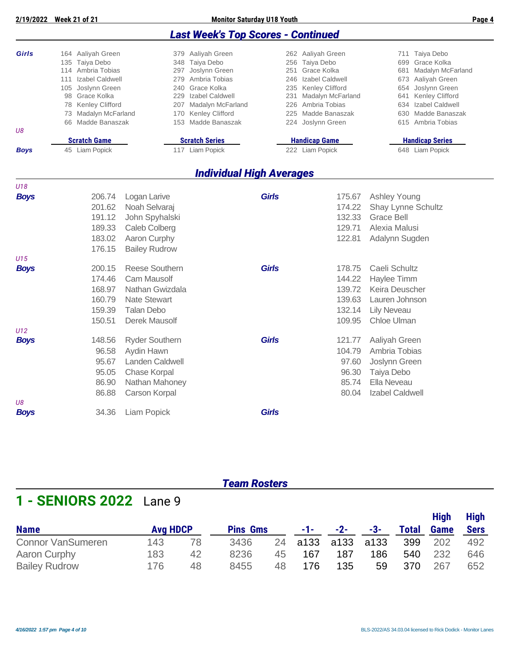|                                                                                                                                                                                                          |                                                          |                                                                                                                                                                                               | <b>Last Week's Top Scores - Continued</b> |                                                                                                                                                                                               |                                                                                                                                                                                                  |
|----------------------------------------------------------------------------------------------------------------------------------------------------------------------------------------------------------|----------------------------------------------------------|-----------------------------------------------------------------------------------------------------------------------------------------------------------------------------------------------|-------------------------------------------|-----------------------------------------------------------------------------------------------------------------------------------------------------------------------------------------------|--------------------------------------------------------------------------------------------------------------------------------------------------------------------------------------------------|
| Girls<br>164 Aaliyah Green<br>135 Taiya Debo<br>114 Ambria Tobias<br>111 Izabel Caldwell<br>105 Joslynn Green<br>98 Grace Kolka<br>78 Kenley Clifford<br>73 Madalyn McFarland<br>66 Madde Banaszak<br>U8 |                                                          | 379 Aaliyah Green<br>348 Taiya Debo<br>297 Joslynn Green<br>279 Ambria Tobias<br>240 Grace Kolka<br>229 Izabel Caldwell<br>207 Madalyn McFarland<br>170 Kenley Clifford<br>153 Madde Banaszak |                                           | 262 Aaliyah Green<br>256 Taiya Debo<br>251 Grace Kolka<br>246 Izabel Caldwell<br>235 Kenley Clifford<br>231 Madalyn McFarland<br>226 Ambria Tobias<br>225 Madde Banaszak<br>224 Joslynn Green | 711 Taiya Debo<br>699 Grace Kolka<br>681 Madalyn McFarland<br>673 Aaliyah Green<br>654 Joslynn Green<br>Kenley Clifford<br>641<br>634 Izabel Caldwell<br>630 Madde Banaszak<br>615 Ambria Tobias |
| <b>Boys</b>                                                                                                                                                                                              | <b>Scratch Game</b><br>45 Liam Popick                    | <b>Scratch Series</b><br>117 Liam Popick                                                                                                                                                      |                                           | <b>Handicap Game</b><br>222 Liam Popick                                                                                                                                                       | <b>Handicap Series</b><br>648 Liam Popick                                                                                                                                                        |
|                                                                                                                                                                                                          |                                                          |                                                                                                                                                                                               |                                           |                                                                                                                                                                                               |                                                                                                                                                                                                  |
|                                                                                                                                                                                                          |                                                          |                                                                                                                                                                                               | <b>Individual High Averages</b>           |                                                                                                                                                                                               |                                                                                                                                                                                                  |
| U18                                                                                                                                                                                                      |                                                          |                                                                                                                                                                                               |                                           |                                                                                                                                                                                               |                                                                                                                                                                                                  |
| <b>Boys</b>                                                                                                                                                                                              | 206.74<br>201.62<br>191.12<br>189.33<br>183.02<br>176.15 | Logan Larive<br>Noah Selvaraj<br>John Spyhalski<br>Caleb Colberg<br>Aaron Curphy<br><b>Bailey Rudrow</b>                                                                                      | <b>Girls</b>                              | 175.67<br>174.22<br>132.33<br>129.71<br>122.81                                                                                                                                                | Ashley Young<br><b>Shay Lynne Schultz</b><br><b>Grace Bell</b><br>Alexia Malusi<br>Adalynn Sugden                                                                                                |
| U15                                                                                                                                                                                                      |                                                          |                                                                                                                                                                                               |                                           |                                                                                                                                                                                               |                                                                                                                                                                                                  |
| <b>Boys</b>                                                                                                                                                                                              | 200.15<br>174.46<br>168.97<br>160.79<br>159.39<br>150.51 | <b>Reese Southern</b><br><b>Cam Mausolf</b><br>Nathan Gwizdala<br><b>Nate Stewart</b><br><b>Talan Debo</b><br>Derek Mausolf                                                                   | <b>Girls</b>                              | 178.75<br>144.22<br>139.72<br>139.63<br>132.14<br>109.95                                                                                                                                      | Caeli Schultz<br>Haylee Timm<br>Keira Deuscher<br>Lauren Johnson<br><b>Lily Neveau</b><br>Chloe Ulman                                                                                            |
| U12<br><b>Boys</b><br>U8                                                                                                                                                                                 | 148.56<br>96.58<br>95.67<br>95.05<br>86.90<br>86.88      | <b>Ryder Southern</b><br>Aydin Hawn<br><b>Landen Caldwell</b><br>Chase Korpal<br>Nathan Mahoney<br>Carson Korpal                                                                              | <b>Girls</b>                              | 121.77<br>104.79<br>97.60<br>96.30<br>85.74<br>80.04                                                                                                                                          | Aaliyah Green<br>Ambria Tobias<br>Joslynn Green<br>Taiya Debo<br>Ella Neveau<br>Izabel Caldwell                                                                                                  |
| <b>Boys</b>                                                                                                                                                                                              | 34.36                                                    | Liam Popick                                                                                                                                                                                   | <b>Girls</b>                              |                                                                                                                                                                                               |                                                                                                                                                                                                  |

**2/19/2022 Week 21 of 21 Monitor Saturday U18 Youth Page 4**

#### *Team Rosters*

## **1 - SENIORS 2022** Lane 9

|                          |                 |    |                 |    |           |       |      |              | <b>High</b> | High |
|--------------------------|-----------------|----|-----------------|----|-----------|-------|------|--------------|-------------|------|
| <b>Name</b>              | <b>Avg HDCP</b> |    | <b>Pins Gms</b> |    | -1- -     | $-2-$ | -3-  | <b>Total</b> | <b>Game</b> | Sers |
| <b>Connor VanSumeren</b> | 143             | 78 | 3436            | 24 | a133 a133 |       | a133 | 399          | 202         | 492  |
| Aaron Curphy             | 183             | 42 | 8236            | 45 | 167       | 187   | 186  | 540          | 232         | 646  |
| <b>Bailey Rudrow</b>     | 176             | 48 | 8455            | 48 | 176       | 135   | 59   | 370          | 267         | 652  |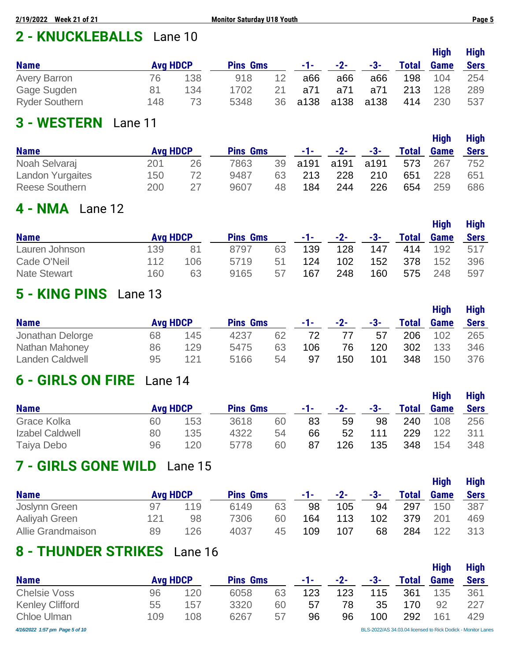# **2 - KNUCKLEBALLS** Lane 10

|                       |                 |     |                 |    |            |       |      |              | <b>High</b> | <b>High</b> |
|-----------------------|-----------------|-----|-----------------|----|------------|-------|------|--------------|-------------|-------------|
| <b>Name</b>           | <b>Avg HDCP</b> |     | <b>Pins Gms</b> |    | $-1$ – $-$ | $-2-$ | -3-  | <b>Total</b> | <b>Game</b> | <b>Sers</b> |
| <b>Avery Barron</b>   | 76              | 138 | 918             | 12 | a66        | a66   | a66  | 198          | 104         | 254         |
| Gage Sugden           | 81              | 134 | 1702            | 21 | a71        | a71   | a71  | 213          | 128         | 289         |
| <b>Ryder Southern</b> | 148             | 73  | 5348            | 36 | a138       | a138  | a138 | 414          | 230         | 537         |

## **3 - WESTERN** Lane 11

|                         |                 |    |                 |    |       |       |      |              | <b>High</b> | <b>High</b> |
|-------------------------|-----------------|----|-----------------|----|-------|-------|------|--------------|-------------|-------------|
| <b>Name</b>             | <b>Avg HDCP</b> |    | <b>Pins Gms</b> |    | -1- - | $-2-$ | -3-  | <b>Total</b> | <b>Game</b> | <b>Sers</b> |
| Noah Selvaraj           | 201             | 26 | 7863            | 39 | a191  | a191  | a191 | 573          | 267         | 752         |
| <b>Landon Yurgaites</b> | 150             | 72 | 9487            | 63 | 213   | 228   | 210  | 651          | 228         | 651         |
| <b>Reese Southern</b>   | 200             | 27 | 9607            | 48 | 184   | 244   | 226  | 654          | 259         | 686         |

## **4 - NMA** Lane 12

|                     |                 |     |                 |    |      |       |     |              | <b>High</b> | <b>High</b> |
|---------------------|-----------------|-----|-----------------|----|------|-------|-----|--------------|-------------|-------------|
| <b>Name</b>         | <b>Avg HDCP</b> |     | <b>Pins Gms</b> |    | -1-1 | $-2-$ | -3- | <b>Total</b> | <b>Game</b> | <b>Sers</b> |
| Lauren Johnson      | 139             | 81  | 8797            | 63 | 139  | 128   | 147 | 414          | 192         | 517         |
| Cade O'Neil         | 112             | 106 | 5719            | 51 | 124  | 102   | 152 | 378          | 152         | 396         |
| <b>Nate Stewart</b> | 160             | 63  | 9165            | 57 | 167  | 248   | 160 | 575          | 248         | 597         |

### **5 - KING PINS** Lane 13

|                        |                 |     |                 |    |       |       |     |              | <b>High</b> | <b>High</b> |
|------------------------|-----------------|-----|-----------------|----|-------|-------|-----|--------------|-------------|-------------|
| <b>Name</b>            | <b>Avg HDCP</b> |     | <b>Pins Gms</b> |    | -1- - | $-2-$ | -3- | <b>Total</b> | <b>Game</b> | <b>Sers</b> |
| Jonathan Delorge       | 68              | 145 | 4237            | 62 | 72    | 77    | 57  | 206          | 102         | 265         |
| <b>Nathan Mahoney</b>  | 86              | 129 | 5475            | 63 | 106   | 76    | 120 | 302          | 133         | 346         |
| <b>Landen Caldwell</b> | 95              | 121 | 5166            | 54 | 97    | 150   | 101 | 348          | 150         | 376         |

### **6 - GIRLS ON FIRE** Lane 14

|                 |                 |     |                 |    |       |       |     |              | <b>High</b> | <b>High</b> |
|-----------------|-----------------|-----|-----------------|----|-------|-------|-----|--------------|-------------|-------------|
| <b>Name</b>     | <b>Avg HDCP</b> |     | <b>Pins Gms</b> |    | -1- - | $-2-$ | -3- | <b>Total</b> | <b>Game</b> | <b>Sers</b> |
| Grace Kolka     | 60              | 153 | 3618            | 60 | 83    | 59    | 98  | 240          | 108         | 256         |
| Izabel Caldwell | 80              | 135 | 4322            | 54 | 66    | 52    | 111 | 229          | 122         | 311         |
| Taiya Debo      | 96              | 120 | 5778            | 60 | 87    | 126   | 135 | 348          | 154         | 348         |

## **7 - GIRLS GONE WILD** Lane 15

|                   |                 |     |                 |    |          |       |     |              | <b>High</b> | <b>High</b> |
|-------------------|-----------------|-----|-----------------|----|----------|-------|-----|--------------|-------------|-------------|
| <b>Name</b>       | <b>Avg HDCP</b> |     | <b>Pins Gms</b> |    | $-1 - 1$ | $-2-$ | -3- | <b>Total</b> | <b>Game</b> | <b>Sers</b> |
| Joslynn Green     | 97              | 119 | 6149            | 63 | 98       | 105   | 94  | 297          | 150         | 387         |
| Aaliyah Green     | 121             | 98  | 7306            | 60 | 164      | 113   | 102 | 379          | 201         | 469         |
| Allie Grandmaison | 89              | 126 | 4037            | 45 | 109      | 107   | 68  | 284          | 122         | 313         |

## **8 - THUNDER STRIKES** Lane 16

|                                |                 |     |                 |    |     |       |     |       | <b>High</b> | <b>High</b>                                                  |
|--------------------------------|-----------------|-----|-----------------|----|-----|-------|-----|-------|-------------|--------------------------------------------------------------|
| <b>Name</b>                    | <b>Avg HDCP</b> |     | <b>Pins Gms</b> |    | -1- | $-2-$ | -3- | Total | <b>Game</b> | <b>Sers</b>                                                  |
| <b>Chelsie Voss</b>            | 96              | 120 | 6058            | 63 | 123 | 123   | 115 | 361   | 135         | 361                                                          |
| <b>Kenley Clifford</b>         | 55              | 157 | 3320            | 60 | 57  | 78    | 35  | 170   | 92          | 227                                                          |
| <b>Chloe Ulman</b>             | 109             | 108 | 6267            | 57 | 96  | 96    | 100 | 292   | 161         | 429                                                          |
| 4/16/2022 1:57 pm Page 5 of 10 |                 |     |                 |    |     |       |     |       |             | BLS-2022/AS 34.03.04 licensed to Rick Dodick - Monitor Lanes |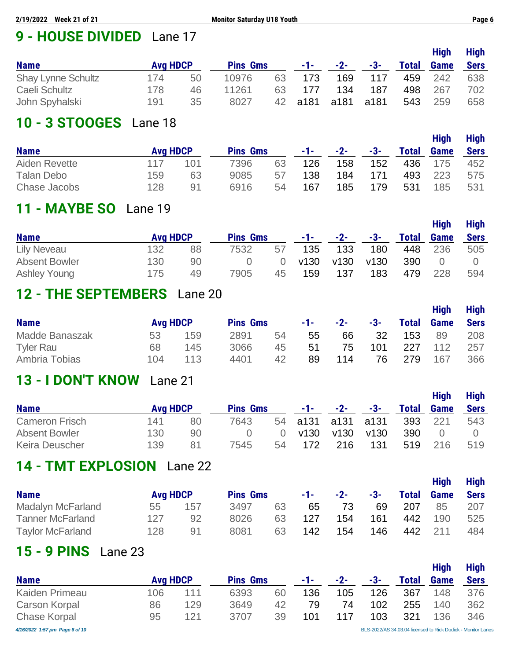# **9 - HOUSE DIVIDED** Lane 17

|                           |                 |    |                 |    |       |       |       |              | <b>High</b> | <b>High</b> |
|---------------------------|-----------------|----|-----------------|----|-------|-------|-------|--------------|-------------|-------------|
| <b>Name</b>               | <b>Avg HDCP</b> |    | <b>Pins Gms</b> |    | $-1-$ | $-2-$ | $-3-$ | <b>Total</b> | <b>Game</b> | <b>Sers</b> |
| <b>Shay Lynne Schultz</b> | 174             | 50 | 10976           | 63 | 173   | 169   | 117   | 459          | 242         | 638         |
| Caeli Schultz             | 178             | 46 | 11261           | 63 | 177   | 134   | 187   | 498          | 267         | 702         |
| John Spyhalski            | 191             | 35 | 8027            | 42 | a181  | a181  | a181  | 543          | 259         | 658         |

## **10 - 3 STOOGES** Lane 18

|               |                 |     |                 |    |      |       |     |              | <b>High</b> | <b>High</b> |
|---------------|-----------------|-----|-----------------|----|------|-------|-----|--------------|-------------|-------------|
| <b>Name</b>   | <b>Avg HDCP</b> |     | <b>Pins Gms</b> |    | -1-1 | $-2-$ | -3- | <b>Total</b> | <b>Game</b> | <b>Sers</b> |
| Aiden Revette | 117             | 101 | 7396            | 63 | 126  | 158   | 152 | 436          | 175         | 452         |
| Talan Debo    | 159             | 63  | 9085            | 57 | 138  | 184   | 171 | 493          | 223         | 575         |
| Chase Jacobs  | 128             | 91  | 6916            | 54 | 167  | 185   | 179 | 531          | 185         | 531         |

# **11 - MAYBE SO** Lane 19

|                      |                 |    |                 |    |       |       |       |              | <b>High</b>      | <b>High</b> |
|----------------------|-----------------|----|-----------------|----|-------|-------|-------|--------------|------------------|-------------|
| <b>Name</b>          | <b>Avg HDCP</b> |    | <b>Pins Gms</b> |    | -1- - | $-2-$ | $-3-$ | <b>Total</b> | <b>Game</b>      | <b>Sers</b> |
| <b>Lily Neveau</b>   | 132             | 88 | 7532            | 57 | 135   | 133   | 180   | 448          | 236              | 505         |
| <b>Absent Bowler</b> | 130             | 90 |                 |    | v130  | v130  | v130  | 390          | $\left( \right)$ |             |
| <b>Ashley Young</b>  | 175             | 49 | 7905            | 45 | 159   | 137   | 183   | 479          | 228              | 594         |

# **12 - THE SEPTEMBERS** Lane 20

|                  |                 |     |                 |    |     |       |     |       | <b>High</b> | <b>High</b> |
|------------------|-----------------|-----|-----------------|----|-----|-------|-----|-------|-------------|-------------|
| <b>Name</b>      | <b>Avg HDCP</b> |     | <b>Pins Gms</b> |    | -1- | $-2-$ | -3- | Total | <b>Game</b> | <b>Sers</b> |
| Madde Banaszak   | 53              | 159 | 2891            | 54 | 55  | 66    | 32  | 153   | 89          | 208         |
| <b>Tyler Rau</b> | 68              | 145 | 3066            | 45 | -51 | 75    | 101 | 227   | 112         | 257         |
| Ambria Tobias    | 104             | 113 | 4401            | 42 | 89  | 114   | 76  | 279   | 167         | 366         |

## **13 - I DON'T KNOW** Lane 21

|                       |                 |    |                 |    |                |       |      |              | <b>High</b> | <b>High</b> |
|-----------------------|-----------------|----|-----------------|----|----------------|-------|------|--------------|-------------|-------------|
| <b>Name</b>           | <b>Avg HDCP</b> |    | <b>Pins Gms</b> |    | -1-10          | $-2-$ | -3-  | <b>Total</b> | <b>Game</b> | <b>Sers</b> |
| Cameron Frisch        | 141             | 80 | 7643            | 54 | a131 a131 a131 |       |      | 393          | 221         | 543         |
| Absent Bowler         | 130             | 90 |                 |    | v130           | v130  | v130 | 390          |             |             |
| <b>Keira Deuscher</b> | 139             | 81 | 7545            | 54 | 172            | 216   | 131  | 519          | -216        | 519         |

# **14 - TMT EXPLOSION** Lane 22

|                          |                 |     |                 |    |       |       |     |              | <b>High</b> | <b>High</b> |
|--------------------------|-----------------|-----|-----------------|----|-------|-------|-----|--------------|-------------|-------------|
| <b>Name</b>              | <b>Avg HDCP</b> |     | <b>Pins Gms</b> |    | -1- - | $-2-$ | -3- | <b>Total</b> | <b>Game</b> | <b>Sers</b> |
| <b>Madalyn McFarland</b> | 55              | 157 | 3497            | 63 | 65    | 73    | 69  | 207          | 85          | 207         |
| <b>Tanner McFarland</b>  | 127             | 92  | 8026            | 63 | 127   | 154   | 161 | 442          | 190         | 525         |
| <b>Taylor McFarland</b>  | 128             | 91  | 8081            | 63 | 142   | 154   | 146 | 442          | 211         | 484         |

## **15 - 9 PINS** Lane 23

|                                |                 |     |                 |    |     |     |     |              | <b>High</b> | <b>High</b>                                                  |
|--------------------------------|-----------------|-----|-----------------|----|-----|-----|-----|--------------|-------------|--------------------------------------------------------------|
| <b>Name</b>                    | <b>Avg HDCP</b> |     | <b>Pins Gms</b> |    | -1- | -2- | -3- | <b>Total</b> | <b>Game</b> | <b>Sers</b>                                                  |
| Kaiden Primeau                 | 106             | 111 | 6393            | 60 | 136 | 105 | 126 | 367          | 148         | 376                                                          |
| <b>Carson Korpal</b>           | 86              | 129 | 3649            | 42 | 79  | 74  | 102 | 255          | 140         | 362                                                          |
| <b>Chase Korpal</b>            | 95              | 121 | 3707            | 39 | 101 |     | 103 | 321          | 136         | 346                                                          |
| 4/16/2022 1:57 pm Page 6 of 10 |                 |     |                 |    |     |     |     |              |             | BLS-2022/AS 34.03.04 licensed to Rick Dodick - Monitor Lanes |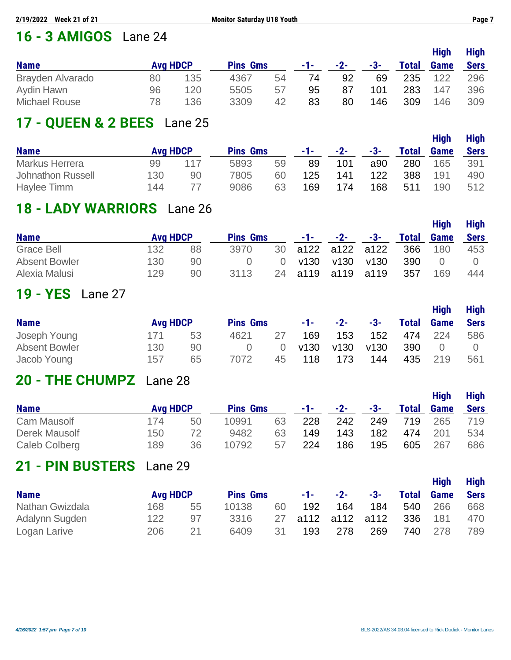## **16 - 3 AMIGOS** Lane 24

|                      |                 |     |                 |    |      |       |     |              | <b>High</b> | <b>High</b> |
|----------------------|-----------------|-----|-----------------|----|------|-------|-----|--------------|-------------|-------------|
| <b>Name</b>          | <b>Avg HDCP</b> |     | <b>Pins Gms</b> |    | -1-1 | $-2-$ | -3- | <b>Total</b> | <b>Game</b> | <b>Sers</b> |
| Brayden Alvarado     | 80              | 135 | 4367            | 54 | 74   | 92    | 69  | 235          | 122         | 296         |
| Aydin Hawn           | 96              | 120 | 5505            | 57 | 95   | 87    | 101 | 283          | 147         | 396         |
| <b>Michael Rouse</b> | 78              | 136 | 3309            | 42 | 83   | 80    | 146 | 309          | 146         | 309         |

### **17 - QUEEN & 2 BEES** Lane 25

|                   |                 |     |                 |    |       |       |     |              | <b>High</b> | <b>High</b> |
|-------------------|-----------------|-----|-----------------|----|-------|-------|-----|--------------|-------------|-------------|
| <b>Name</b>       | <b>Avg HDCP</b> |     | <b>Pins Gms</b> |    | -1- - | $-2-$ | -3- | <b>Total</b> | <b>Game</b> | <b>Sers</b> |
| Markus Herrera    | 99              | 117 | 5893            | 59 | 89    | 101   | a90 | 280          | 165         | 391         |
| Johnathon Russell | 130             | 90  | 7805            | 60 | 125   | 141   | 122 | 388          | 191         | 490         |
| Haylee Timm       | 144             |     | 9086            | 63 | 169   | 174   | 168 | 511          | 190         | 512         |

### **18 - LADY WARRIORS** Lane 26

|                      |                 |    |                 |          |            |                |      |       | <b>High</b> | <b>High</b> |
|----------------------|-----------------|----|-----------------|----------|------------|----------------|------|-------|-------------|-------------|
| <b>Name</b>          | <b>Avg HDCP</b> |    | <b>Pins Gms</b> |          | $-1$ – $-$ | $-2-$          | -3-  | Total | Game        | <b>Sers</b> |
| Grace Bell           | 132             | 88 | 3970            | 30       |            | a122 a122 a122 |      | 366   | 180         | 453         |
| <b>Absent Bowler</b> | 130             | 90 |                 | $\Omega$ | v130       | v130           | v130 | 390   | $\Omega$    |             |
| Alexia Malusi        | 129             | 90 | 3113            | 24       |            | a119 a119 a119 |      | 357   | 169         | 444         |

#### **19 - YES** Lane 27

|                      |                 |    |                 |    |      |       |      |              | <b>High</b> | <b>High</b> |
|----------------------|-----------------|----|-----------------|----|------|-------|------|--------------|-------------|-------------|
| <b>Name</b>          | <b>Avg HDCP</b> |    | <b>Pins Gms</b> |    | -1-1 | $-2-$ | -3-  | <b>Total</b> | <b>Game</b> | <b>Sers</b> |
| Joseph Young         | 171             | 53 | 4621            | 27 | 169  | 153   | 152  | 474          | 224         | 586         |
| <b>Absent Bowler</b> | 130             | 90 |                 |    | v130 | v130  | v130 | 390          |             |             |
| Jacob Young          | 157             | 65 | 7072            | 45 | 118  | 173   | 144  | 435          | 219         | 561         |

#### **20 - THE CHUMPZ** Lane 28

|               |                 |    |                 |    |            |       |       |              | <b>High</b> | <b>High</b> |
|---------------|-----------------|----|-----------------|----|------------|-------|-------|--------------|-------------|-------------|
| <b>Name</b>   | <b>Avg HDCP</b> |    | <b>Pins Gms</b> |    | $-1$ – $-$ | $-2-$ | $-3-$ | <b>Total</b> | <b>Game</b> | <b>Sers</b> |
| Cam Mausolf   | 174             | 50 | 10991           | 63 | 228        | 242   | 249   | 719          | 265         | 719         |
| Derek Mausolf | 150             | 72 | 9482            | 63 | 149        | 143   | 182   | 474          | -201        | 534         |
| Caleb Colberg | 189             | 36 | 10792           | 57 | 224        | 186   | 195   | 605          | 267         | 686         |

### **21 - PIN BUSTERS** Lane 29

| <b>Name</b>     |                 |    |                 |    |          |                |     |              | <b>High</b> | <b>High</b> |
|-----------------|-----------------|----|-----------------|----|----------|----------------|-----|--------------|-------------|-------------|
|                 | <b>Avg HDCP</b> |    | <b>Pins Gms</b> |    | $-1 - 1$ | $-2-$          | -3- | <b>Total</b> | <b>Game</b> | <b>Sers</b> |
| Nathan Gwizdala | 168             | 55 | 10138           | 60 | 192      | 164            | 184 | 540          | 266         | 668         |
| Adalynn Sugden  | 122             | 97 | 3316            | 27 |          | a112 a112 a112 |     | 336          | 181         | 470         |
| Logan Larive    | 206             | 21 | 6409            | 31 | 193      | 278            | 269 | 740.         | 278         | 789         |

**High High**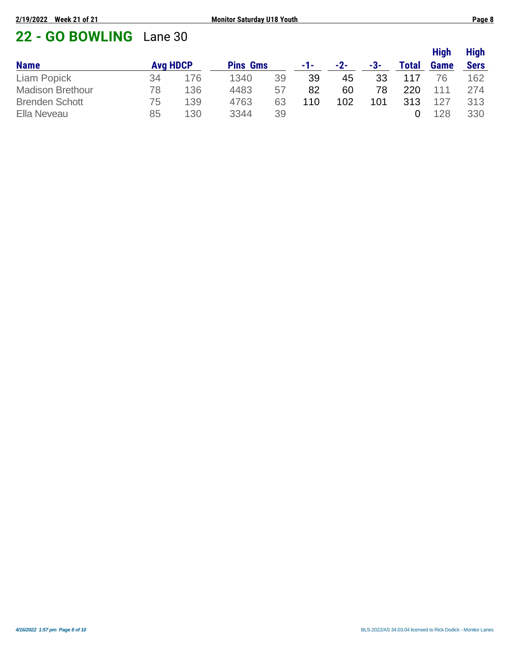# **22 - GO BOWLING** Lane 30

|                         |                 |     |                 |    |     |       |     |              | <b>High</b> | <b>High</b> |
|-------------------------|-----------------|-----|-----------------|----|-----|-------|-----|--------------|-------------|-------------|
| <b>Name</b>             | <b>Avg HDCP</b> |     | <b>Pins Gms</b> |    | -1- | $-2-$ | -3- | <b>Total</b> | <b>Game</b> | <b>Sers</b> |
| Liam Popick             | 34              | 176 | 1340            | 39 | 39  | 45    | 33  | 117          | 76          | 162         |
| <b>Madison Brethour</b> | 78              | 136 | 4483            | 57 | 82  | 60    | 78  | 220          | 111         | 274         |
| <b>Brenden Schott</b>   | 75              | 139 | 4763            | 63 | 110 | 102   | 101 | 313          | 127         | 313         |
| Ella Neveau             | 85              | 130 | 3344            | 39 |     |       |     |              | 128         | 330         |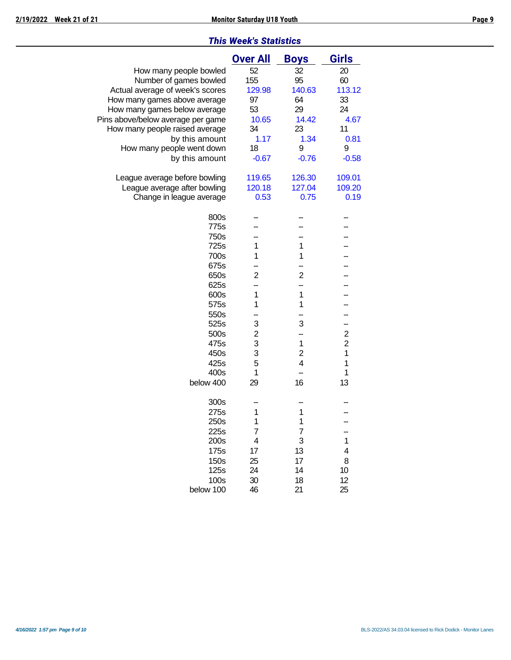|                                   | <b>Over All</b> | <b>Boys</b>             | <b>Girls</b>                              |
|-----------------------------------|-----------------|-------------------------|-------------------------------------------|
| How many people bowled            | 52              | 32                      | 20                                        |
| Number of games bowled            | 155             | 95                      | 60                                        |
| Actual average of week's scores   | 129.98          | 140.63                  | 113.12                                    |
| How many games above average      | 97              | 64                      | 33                                        |
| How many games below average      | 53              | 29                      | 24                                        |
| Pins above/below average per game | 10.65           | 14.42                   | 4.67                                      |
| How many people raised average    | 34              | 23                      | 11                                        |
| by this amount                    | 1.17            | 1.34                    | 0.81                                      |
| How many people went down         | 18              | 9                       | 9                                         |
| by this amount                    | $-0.67$         | $-0.76$                 | $-0.58$                                   |
|                                   |                 |                         |                                           |
| League average before bowling     | 119.65          | 126.30                  | 109.01                                    |
| League average after bowling      | 120.18          | 127.04                  | 109.20                                    |
| Change in league average          | 0.53            | 0.75                    | 0.19                                      |
| 800s                              |                 |                         |                                           |
| 775s                              |                 |                         |                                           |
| 750s                              |                 |                         |                                           |
| 725s                              | 1               | 1                       |                                           |
| 700s                              | 1               | 1                       |                                           |
| 675s                              |                 |                         |                                           |
| 650s                              | $\overline{2}$  | $\overline{2}$          |                                           |
| 625s                              |                 |                         |                                           |
| 600s                              | 1               | $\mathbf 1$             |                                           |
| 575s                              | 1               | 1                       |                                           |
| 550s                              |                 |                         |                                           |
| 525s                              | 3               | 3                       |                                           |
| 500s                              |                 |                         |                                           |
| 475s                              | $\frac{2}{3}$   | 1                       | $\overline{\mathbf{c}}$<br>$\overline{c}$ |
|                                   | 3               |                         | $\mathbf{1}$                              |
| 450s                              |                 | $\mathbf{2}$            |                                           |
| 425s                              | 5               | $\overline{\mathbf{4}}$ | 1                                         |
| 400s                              | 1               |                         | 1                                         |
| below 400                         | 29              | 16                      | 13                                        |
| 300s                              |                 |                         |                                           |
| 275s                              | 1               | 1                       |                                           |
| 250s                              | 1               | 1                       |                                           |
| 225s                              | 7               | 7                       |                                           |
| 200s                              | 4               | 3                       | 1                                         |
| 175s                              | 17              | 13                      | 4                                         |
| 150s                              | 25              | 17                      | 8                                         |
| 125s                              | 24              | 14                      | 10                                        |
| 100s                              | 30              | 18                      | 12                                        |
| below 100                         | 46              | 21                      | 25                                        |
|                                   |                 |                         |                                           |